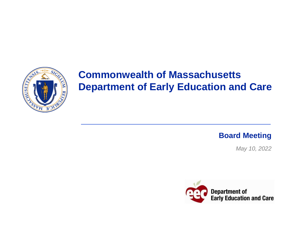

# **Commonwealth of Massachusetts Department of Early Education and Care**

**Board Meeting**

*May 10, 2022*

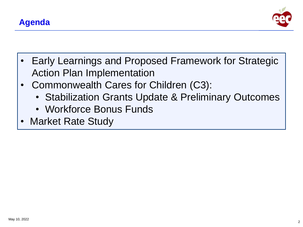

- Early Learnings and Proposed Framework for Strategic Action Plan Implementation
- Commonwealth Cares for Children (C3):
	- Stabilization Grants Update & Preliminary Outcomes
	- Workforce Bonus Funds
- Market Rate Study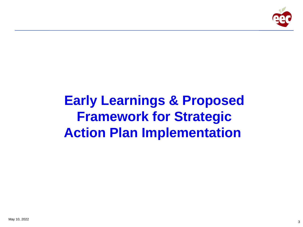

# **Early Learnings & Proposed Framework for Strategic Action Plan Implementation**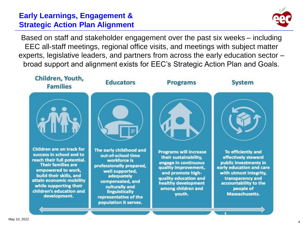# **Early Learnings, Engagement & Strategic Action Plan Alignment**



Based on staff and stakeholder engagement over the past six weeks – including EEC all-staff meetings, regional office visits, and meetings with subject matter experts, legislative leaders, and partners from across the early education sector – broad support and alignment exists for EEC's Strategic Action Plan and Goals.

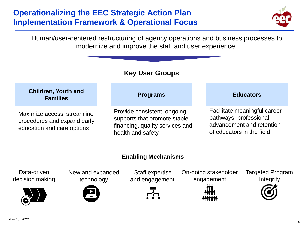# **Operationalizing the EEC Strategic Action Plan Implementation Framework & Operational Focus**



Human/user-centered restructuring of agency operations and business processes to modernize and improve the staff and user experience

### **Key User Groups**

#### **Programs**<br> **Programs**<br> **Programs Families Educators**

Maximize access, streamline procedures and expand early education and care options

Provide consistent, ongoing supports that promote stable financing, quality services and health and safety

Facilitate meaningful career pathways, professional advancement and retention of educators in the field

#### **Enabling Mechanisms**

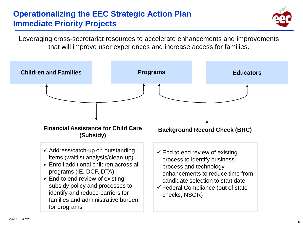# **Operationalizing the EEC Strategic Action Plan Immediate Priority Projects**



Leveraging cross-secretariat resources to accelerate enhancements and improvements that will improve user experiences and increase access for families.

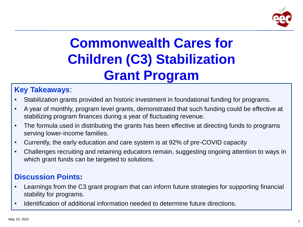

# **Commonwealth Cares for Children (C3) Stabilization Grant Program**

# **Key Takeaways**:

- Stabilization grants provided an historic investment in foundational funding for programs.
- A year of monthly, program level grants, demonstrated that such funding could be effective at stabilizing program finances during a year of fluctuating revenue.
- The formula used in distributing the grants has been effective at directing funds to programs serving lower-income families.
- Currently, the early education and care system is at 92% of pre-COVID capacity
- Challenges recruiting and retaining educators remain, suggesting ongoing attention to ways in which grant funds can be targeted to solutions.

# **Discussion Points:**

- Learnings from the C3 grant program that can inform future strategies for supporting financial stability for programs.
- Identification of additional information needed to determine future directions.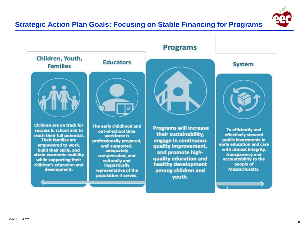



### **Programs**

**System** 



To efficiently and effectively steward public investments in early education and care with utmost integrity, transparency and accountability to the people of Massachusetts.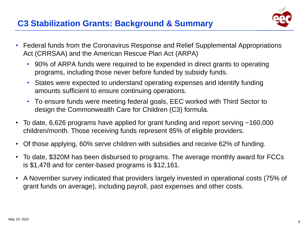

- Federal funds from the Coronavirus Response and Relief Supplemental Appropriations Act (CRRSAA) and the American Rescue Plan Act (ARPA)
	- 90% of ARPA funds were required to be expended in direct grants to operating programs, including those never before funded by subsidy funds.
	- States were expected to understand operating expenses and identify funding amounts sufficient to ensure continuing operations.
	- To ensure funds were meeting federal goals, EEC worked with Third Sector to design the Commonwealth Care for Children (C3) formula.
- To date, 6,626 programs have applied for grant funding and report serving ~160,000 children/month. Those receiving funds represent 85% of eligible providers.
- Of those applying, 60% serve children with subsidies and receive 62% of funding.
- To date, \$320M has been disbursed to programs. The average monthly award for FCCs is \$1,478 and for center-based programs is \$12,161.
- A November survey indicated that providers largely invested in operational costs (75% of grant funds on average), including payroll, past expenses and other costs.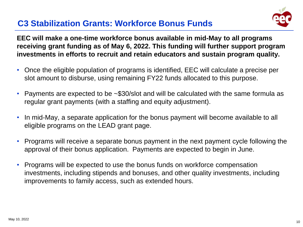# **C3 Stabilization Grants: Workforce Bonus Funds**



**EEC will make a one-time workforce bonus available in mid-May to all programs receiving grant funding as of May 6, 2022. This funding will further support program investments in efforts to recruit and retain educators and sustain program quality.**

- Once the eligible population of programs is identified, EEC will calculate a precise per slot amount to disburse, using remaining FY22 funds allocated to this purpose.
- Payments are expected to be ~\$30/slot and will be calculated with the same formula as regular grant payments (with a staffing and equity adjustment).
- In mid-May, a separate application for the bonus payment will become available to all eligible programs on the LEAD grant page.
- Programs will receive a separate bonus payment in the next payment cycle following the approval of their bonus application. Payments are expected to begin in June.
- Programs will be expected to use the bonus funds on workforce compensation investments, including stipends and bonuses, and other quality investments, including improvements to family access, such as extended hours.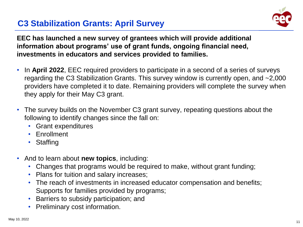# **C3 Stabilization Grants: April Survey**



**EEC has launched a new survey of grantees which will provide additional information about programs' use of grant funds, ongoing financial need, investments in educators and services provided to families.**

- In **April 2022**, EEC required providers to participate in a second of a series of surveys regarding the C3 Stabilization Grants. This survey window is currently open, and ~2,000 providers have completed it to date. Remaining providers will complete the survey when they apply for their May C3 grant.
- The survey builds on the November C3 grant survey, repeating questions about the following to identify changes since the fall on:
	- Grant expenditures
	- Enrollment
	- Staffing
- And to learn about **new topics**, including:
	- Changes that programs would be required to make, without grant funding;
	- Plans for tuition and salary increases;
	- The reach of investments in increased educator compensation and benefits; Supports for families provided by programs;
	- Barriers to subsidy participation; and
	- Preliminary cost information.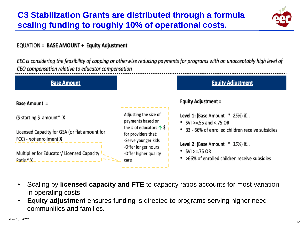# **C3 Stabilization Grants are distributed through a formula scaling funding to roughly 10% of operational costs.**



#### EQUATION = BASE AMOUNT + Equity Adjustment

EEC is considering the feasibility of capping or otherwise reducing payments for programs with an unacceptably high level of CEO compensation relative to educator compensation



- Scaling by **licensed capacity and FTE** to capacity ratios accounts for most variation in operating costs.
- **Equity adjustment** ensures funding is directed to programs serving higher need communities and families.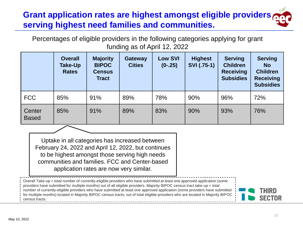# **Grant application rates are highest amongst eligible providers serving highest need families and communities.**

Percentages of eligible providers in the following categories applying for grant funding as of April 12, 2022

|                        | <b>Overall</b><br><b>Take-Up</b><br><b>Rates</b> | <b>Majority</b><br><b>BIPOC</b><br><b>Census</b><br><b>Tract</b> | <b>Gateway</b><br><b>Cities</b> | <b>Low SVI</b><br>$(0-.25)$ | <b>Highest</b><br>SVI (.75-1) | <b>Serving</b><br><b>Children</b><br><b>Receiving</b><br><b>Subsidies</b> | <b>Serving</b><br><b>No</b><br><b>Children</b><br><b>Receiving</b><br><b>Subsidies</b> |
|------------------------|--------------------------------------------------|------------------------------------------------------------------|---------------------------------|-----------------------------|-------------------------------|---------------------------------------------------------------------------|----------------------------------------------------------------------------------------|
| <b>FCC</b>             | 85%                                              | 91%                                                              | 89%                             | 78%                         | 90%                           | 96%                                                                       | 72%                                                                                    |
| Center<br><b>Based</b> | 85%                                              | 91%                                                              | 89%                             | 83%                         | 90%                           | 93%                                                                       | 76%                                                                                    |

Uptake in all categories has increased between February 24, 2022 and April 12, 2022, but continues to be highest amongst those serving high needs communities and families. FCC and Center-based application rates are now very similar.

Overall Take-up = total number of currently-eligible providers who have submitted at least one approved application (some providers have submitted for multiple months) out of all eligible providers. Majority BIPOC census tract take-up = total number of currently-eligible providers who have submitted at least one approved application (some providers have submitted for multiple months) located in Majority BIPOC census tracts, out of total eligible providers who are located in Majority BIPOC census tracts.

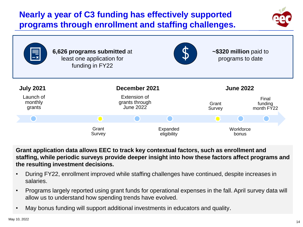# **Nearly a year of C3 funding has effectively supported programs through enrollment and staffing challenges.**





**Grant application data allows EEC to track key contextual factors, such as enrollment and staffing, while periodic surveys provide deeper insight into how these factors affect programs and the resulting investment decisions.**

- During FY22, enrollment improved while staffing challenges have continued, despite increases in salaries.
- Programs largely reported using grant funds for operational expenses in the fall. April survey data will allow us to understand how spending trends have evolved.
- May bonus funding will support additional investments in educators and quality.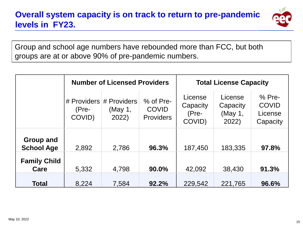

Group and school age numbers have rebounded more than FCC, but both groups are at or above 90% of pre-pandemic numbers.

|                                |                                            | <b>Number of Licensed Providers</b> |                                               | <b>Total License Capacity</b>            |                                         |                                                 |
|--------------------------------|--------------------------------------------|-------------------------------------|-----------------------------------------------|------------------------------------------|-----------------------------------------|-------------------------------------------------|
|                                | # Providers # Providers<br>(Pre-<br>COVID) | (May 1,<br>2022)                    | % of Pre-<br><b>COVID</b><br><b>Providers</b> | License<br>Capacity<br>$(Pre-$<br>COVID) | License<br>Capacity<br>(May 1,<br>2022) | $%$ Pre-<br><b>COVID</b><br>License<br>Capacity |
| Group and<br><b>School Age</b> | 2,892                                      | 2,786                               | 96.3%                                         | 187,450                                  | 183,335                                 | 97.8%                                           |
| <b>Family Child</b><br>Care    | 5,332                                      | 4,798                               | 90.0%                                         | 42,092                                   | 38,430                                  | 91.3%                                           |
| <b>Total</b>                   | 8,224                                      | 7,584                               | 92.2%                                         | 229,542                                  | 221,765                                 | 96.6%                                           |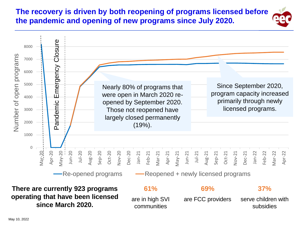# **The recovery is driven by both reopening of programs licensed before the pandemic and opening of new programs since July 2020.**

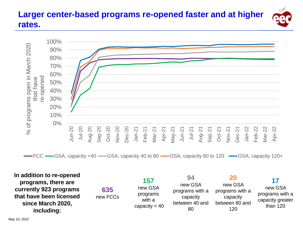# **Larger center-based programs re-opened faster and at higher rates.**



FCC GSA, capacity <40 GSA, capacity 40 to 80 GGSA, capacity 80 to 120 GSA, capacity 120+

**157**

**In addition to re-opened programs, there are currently 923 programs that have been licensed since March 2020, including:**

**635** new FCCs new GSA programs with a capacity < 40

**94** new GSA programs with a capacity between 40 and 80 **20** new GSA programs with a capacity between 80 and 120 than 120

**17** new GSA programs with a capacity greater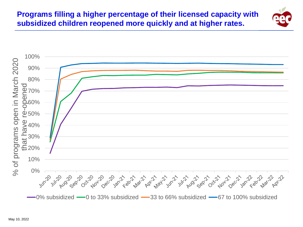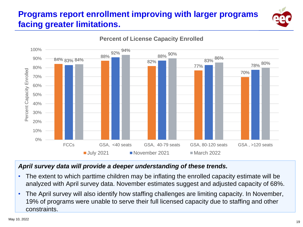# **Programs report enrollment improving with larger programs facing greater limitations.**



### **Percent of License Capacity Enrolled**

#### *April survey data will provide a deeper understanding of these trends.*

- The extent to which parttime children may be inflating the enrolled capacity estimate will be analyzed with April survey data. November estimates suggest and adjusted capacity of 68%.
- The April survey will also identify how staffing challenges are limiting capacity. In November, 19% of programs were unable to serve their full licensed capacity due to staffing and other constraints.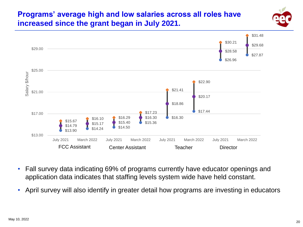# **Programs' average high and low salaries across all roles have increased since the grant began in July 2021.**





- Fall survey data indicating 69% of programs currently have educator openings and application data indicates that staffing levels system wide have held constant.
- April survey will also identify in greater detail how programs are investing in educators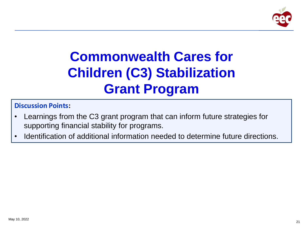

# **Commonwealth Cares for Children (C3) Stabilization Grant Program**

### **Discussion Points:**

- Learnings from the C3 grant program that can inform future strategies for supporting financial stability for programs.
- Identification of additional information needed to determine future directions.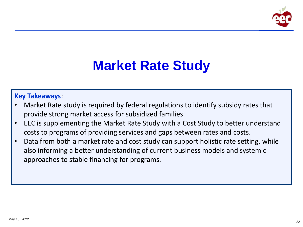

# **Market Rate Study**

#### **Key Takeaways**:

- Market Rate study is required by federal regulations to identify subsidy rates that provide strong market access for subsidized families.
- EEC is supplementing the Market Rate Study with a Cost Study to better understand costs to programs of providing services and gaps between rates and costs.
- Data from both a market rate and cost study can support holistic rate setting, while also informing a better understanding of current business models and systemic approaches to stable financing for programs.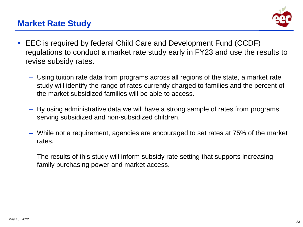# **Market Rate Study**



- EEC is required by federal Child Care and Development Fund (CCDF) regulations to conduct a market rate study early in FY23 and use the results to revise subsidy rates.
	- Using tuition rate data from programs across all regions of the state, a market rate study will identify the range of rates currently charged to families and the percent of the market subsidized families will be able to access.
	- By using administrative data we will have a strong sample of rates from programs serving subsidized and non-subsidized children.
	- While not a requirement, agencies are encouraged to set rates at 75% of the market rates.
	- The results of this study will inform subsidy rate setting that supports increasing family purchasing power and market access.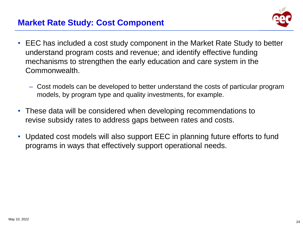# **Market Rate Study: Cost Component**



- EEC has included a cost study component in the Market Rate Study to better understand program costs and revenue; and identify effective funding mechanisms to strengthen the early education and care system in the Commonwealth.
	- Cost models can be developed to better understand the costs of particular program models, by program type and quality investments, for example.
- These data will be considered when developing recommendations to revise subsidy rates to address gaps between rates and costs.
- Updated cost models will also support EEC in planning future efforts to fund programs in ways that effectively support operational needs.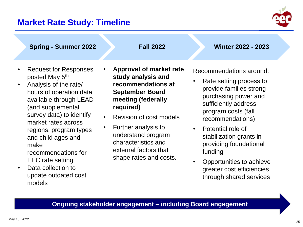## **Market Rate Study: Timeline**



**Spring - Summer 2022 Fall 2022 Winter 2022 - 2023**

- Request for Responses posted May 5<sup>th</sup>
- Analysis of the rate/ hours of operation data available through LEAD (and supplemental survey data) to identify market rates across regions, program types and child ages and make

recommendations for EEC rate setting

• Data collection to update outdated cost models

- **Approval of market rate study analysis and recommendations at September Board meeting (federally required)**
- Revision of cost models
- Further analysis to understand program characteristics and external factors that shape rates and costs.

Recommendations around:

- Rate setting process to provide families strong purchasing power and sufficiently address program costs (fall recommendations)
- Potential role of stabilization grants in providing foundational funding
- Opportunities to achieve greater cost efficiencies through shared services

#### **Ongoing stakeholder engagement – including Board engagement**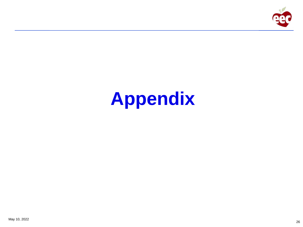

# **Appendix**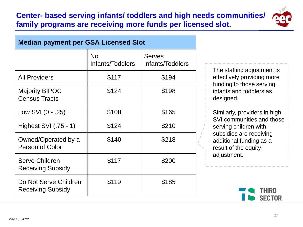### **Center- based serving infants/ toddlers and high needs communities/ family programs are receiving more funds per licensed slot.**



| <b>Median payment per GSA Licensed Slot</b>       |                        |                                   |  |  |
|---------------------------------------------------|------------------------|-----------------------------------|--|--|
|                                                   | No<br>Infants/Toddlers | <b>Serves</b><br>Infants/Toddlers |  |  |
| <b>All Providers</b>                              | \$117                  | \$194                             |  |  |
| <b>Majority BIPOC</b><br><b>Census Tracts</b>     | \$124                  | \$198                             |  |  |
| Low SVI (0 - .25)                                 | \$108                  | \$165                             |  |  |
| Highest SVI (.75 - 1)                             | \$124                  | \$210                             |  |  |
| Owned/Operated by a<br><b>Person of Color</b>     | \$140                  | \$218                             |  |  |
| <b>Serve Children</b><br><b>Receiving Subsidy</b> | \$117                  | \$200                             |  |  |
| Do Not Serve Children<br><b>Receiving Subsidy</b> | \$119                  | \$185                             |  |  |

The staffing adjustment is effectively providing more funding to those serving infants and toddlers as designed.

Similarly, providers in high SVI communities and those serving children with subsidies are receiving additional funding as a result of the equity adjustment.

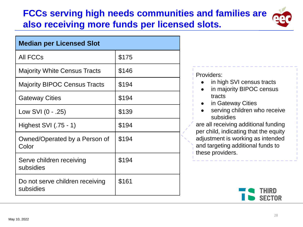# **FCCs serving high needs communities and families are also receiving more funds per licensed slots.**



| <b>Median per Licensed Slot</b>              |       |  |  |  |  |
|----------------------------------------------|-------|--|--|--|--|
| <b>All FCCs</b>                              | \$175 |  |  |  |  |
| <b>Majority White Census Tracts</b>          | \$146 |  |  |  |  |
| <b>Majority BIPOC Census Tracts</b>          | \$194 |  |  |  |  |
| <b>Gateway Cities</b>                        | \$194 |  |  |  |  |
| Low SVI (0 - .25)                            | \$139 |  |  |  |  |
| Highest SVI (.75 - 1)                        | \$194 |  |  |  |  |
| Owned/Operated by a Person of<br>Color       | \$194 |  |  |  |  |
| Serve children receiving<br>subsidies        | \$194 |  |  |  |  |
| Do not serve children receiving<br>subsidies | \$161 |  |  |  |  |

#### Providers:

- in high SVI census tracts
- in majority BIPOC census tracts
- in Gateway Cities
- serving children who receive subsidies

are all receiving additional funding per child, indicating that the equity adjustment is working as intended and targeting additional funds to these providers.

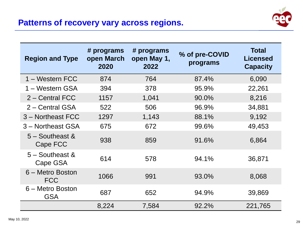# **Patterns of recovery vary across regions.**



| <b>Region and Type</b>         | # programs<br>open March<br>2020 | # programs<br>open May 1,<br>2022 | % of pre-COVID<br>programs | <b>Total</b><br><b>Licensed</b><br><b>Capacity</b> |
|--------------------------------|----------------------------------|-----------------------------------|----------------------------|----------------------------------------------------|
| 1 – Western FCC                | 874                              | 764                               | 87.4%                      | 6,090                                              |
| 1 – Western GSA                | 394                              | 378                               | 95.9%                      | 22,261                                             |
| 2 – Central FCC                | 1157                             | 1,041                             | 90.0%                      | 8,216                                              |
| 2 – Central GSA                | 522                              | 506                               | 96.9%                      | 34,881                                             |
| 3 - Northeast FCC              | 1297                             | 1,143                             | 88.1%                      | 9,192                                              |
| 3 - Northeast GSA              | 675                              | 672                               | 99.6%                      | 49,453                                             |
| $5 -$ Southeast &<br>Cape FCC  | 938                              | 859                               | 91.6%                      | 6,864                                              |
| $5 -$ Southeast &<br>Cape GSA  | 614                              | 578                               | 94.1%                      | 36,871                                             |
| 6 - Metro Boston<br><b>FCC</b> | 1066                             | 991                               | 93.0%                      | 8,068                                              |
| 6 – Metro Boston<br><b>GSA</b> | 687                              | 652                               | 94.9%                      | 39,869                                             |
|                                | 8,224                            | 7,584                             | 92.2%                      | 221,765                                            |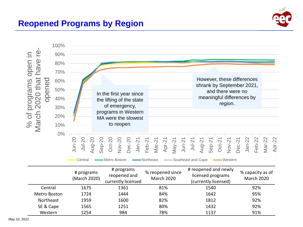

# **Reopened Programs by Region**



|              | # programs<br>(March 2020) | # programs<br>reopened and<br>currently licensed | % reopened since<br><b>March 2020</b> | # reopened and newly<br>licensed programs<br>(currently licensed) | % capacity as of<br><b>March 2020</b> |
|--------------|----------------------------|--------------------------------------------------|---------------------------------------|-------------------------------------------------------------------|---------------------------------------|
| Central      | 1675                       | 1361                                             | 81%                                   | 1540                                                              | 92%                                   |
| Metro Boston | 1724                       | 1444                                             | 84%                                   | 1642                                                              | 95%                                   |
| Northeast    | 1959                       | 1600                                             | 82%                                   | 1812                                                              | 92%                                   |
| SE & Cape    | 1565                       | 1251                                             | 80%                                   | 1432                                                              | 92%                                   |
| Western      | 1254                       | 984                                              | 78%                                   | 1137                                                              | 91%                                   |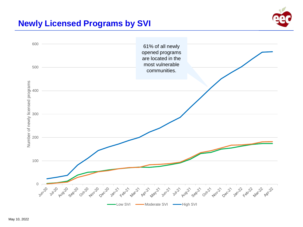# **Newly Licensed Programs by SVI**